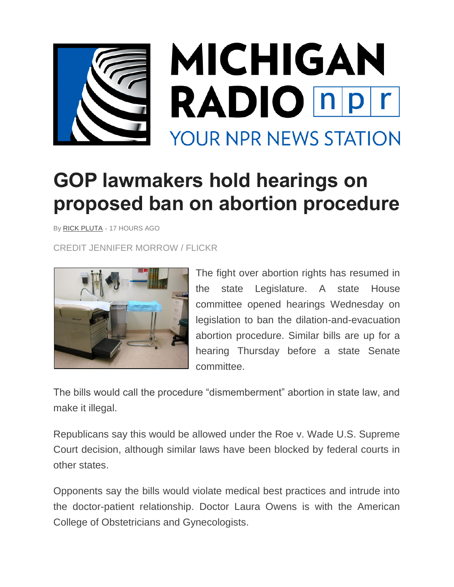

## **GOP lawmakers hold hearings on proposed ban on abortion procedure**

By [RICK PLUTA](https://www.michiganradio.org/people/rick-pluta) *•* 17 HOURS AGO

CREDIT JENNIFER MORROW / FLICKR



The fight over abortion rights has resumed in the state Legislature. A state House committee opened hearings Wednesday on legislation to ban the dilation-and-evacuation abortion procedure. Similar bills are up for a hearing Thursday before a state Senate committee.

The bills would call the procedure "dismemberment" abortion in state law, and make it illegal.

Republicans say this would be allowed under the Roe v. Wade U.S. Supreme Court decision, although similar laws have been blocked by federal courts in other states.

Opponents say the bills would violate medical best practices and intrude into the doctor-patient relationship. Doctor Laura Owens is with the American College of Obstetricians and Gynecologists.